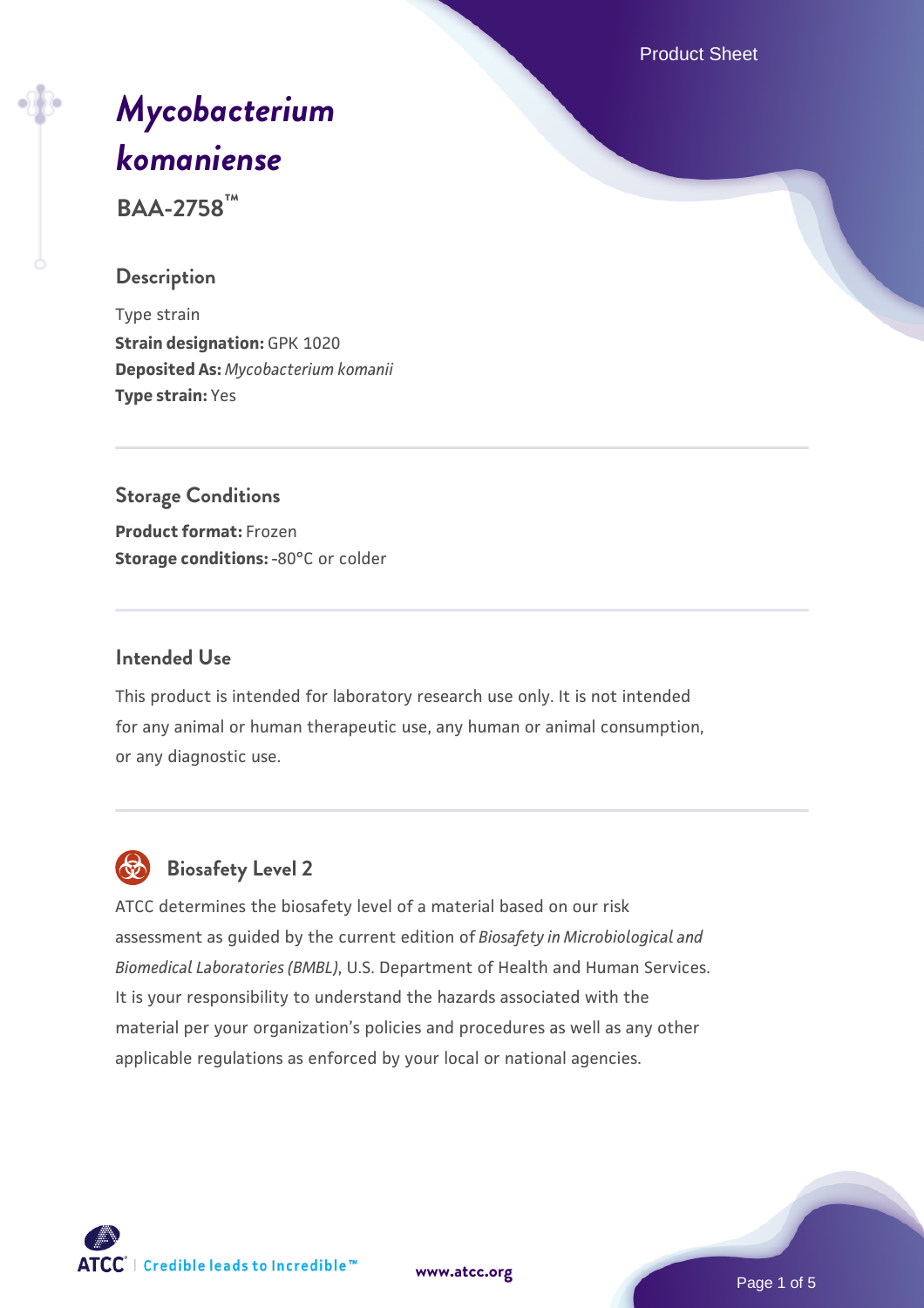Product Sheet

# *[Mycobacterium](https://www.atcc.org/products/baa-2758) [komaniense](https://www.atcc.org/products/baa-2758)*

**BAA-2758™**

# **Description**

Type strain **Strain designation:** GPK 1020 **Deposited As:** *Mycobacterium komanii* **Type strain:** Yes

# **Storage Conditions**

**Product format:** Frozen **Storage conditions: -80°C or colder** 

# **Intended Use**

This product is intended for laboratory research use only. It is not intended for any animal or human therapeutic use, any human or animal consumption, or any diagnostic use.



# **Biosafety Level 2**

ATCC determines the biosafety level of a material based on our risk assessment as guided by the current edition of *Biosafety in Microbiological and Biomedical Laboratories (BMBL)*, U.S. Department of Health and Human Services. It is your responsibility to understand the hazards associated with the material per your organization's policies and procedures as well as any other applicable regulations as enforced by your local or national agencies.

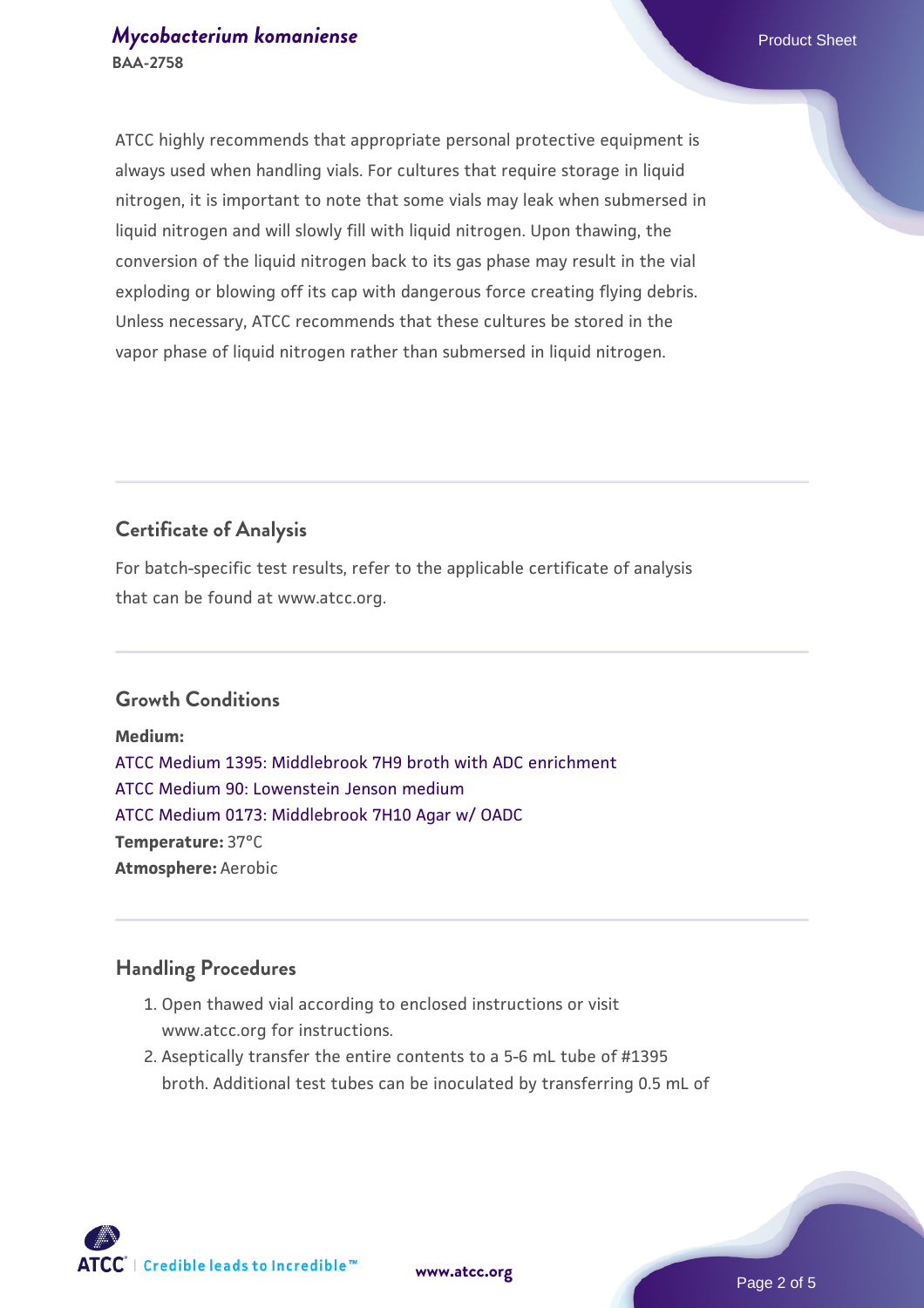ATCC highly recommends that appropriate personal protective equipment is always used when handling vials. For cultures that require storage in liquid nitrogen, it is important to note that some vials may leak when submersed in liquid nitrogen and will slowly fill with liquid nitrogen. Upon thawing, the conversion of the liquid nitrogen back to its gas phase may result in the vial exploding or blowing off its cap with dangerous force creating flying debris. Unless necessary, ATCC recommends that these cultures be stored in the vapor phase of liquid nitrogen rather than submersed in liquid nitrogen.

# **Certificate of Analysis**

For batch-specific test results, refer to the applicable certificate of analysis that can be found at www.atcc.org.

# **Growth Conditions**

**Medium:**  [ATCC Medium 1395: Middlebrook 7H9 broth with ADC enrichment](https://www.atcc.org/-/media/product-assets/documents/microbial-media-formulations/1/3/9/5/atcc-medium-1395.pdf?rev=83f84c8c9e994a71a2edb0458ff02218) [ATCC Medium 90: Lowenstein Jenson medium](https://www.atcc.org/-/media/product-assets/documents/microbial-media-formulations/9/0/atcc-medium-90.pdf?rev=2af45eec61614a8e9024c1519219fe34) [ATCC Medium 0173: Middlebrook 7H10 Agar w/ OADC](https://www.atcc.org/-/media/product-assets/documents/microbial-media-formulations/0/1/7/3/atcc-medium-0173.pdf?rev=2fcd87d0ebaf471d8aa6aba3758ef39f) **Temperature:** 37°C **Atmosphere:** Aerobic

#### **Handling Procedures**

- 1. Open thawed vial according to enclosed instructions or visit www.atcc.org for instructions.
- 2. Aseptically transfer the entire contents to a 5-6 mL tube of #1395 broth. Additional test tubes can be inoculated by transferring 0.5 mL of



**[www.atcc.org](http://www.atcc.org)**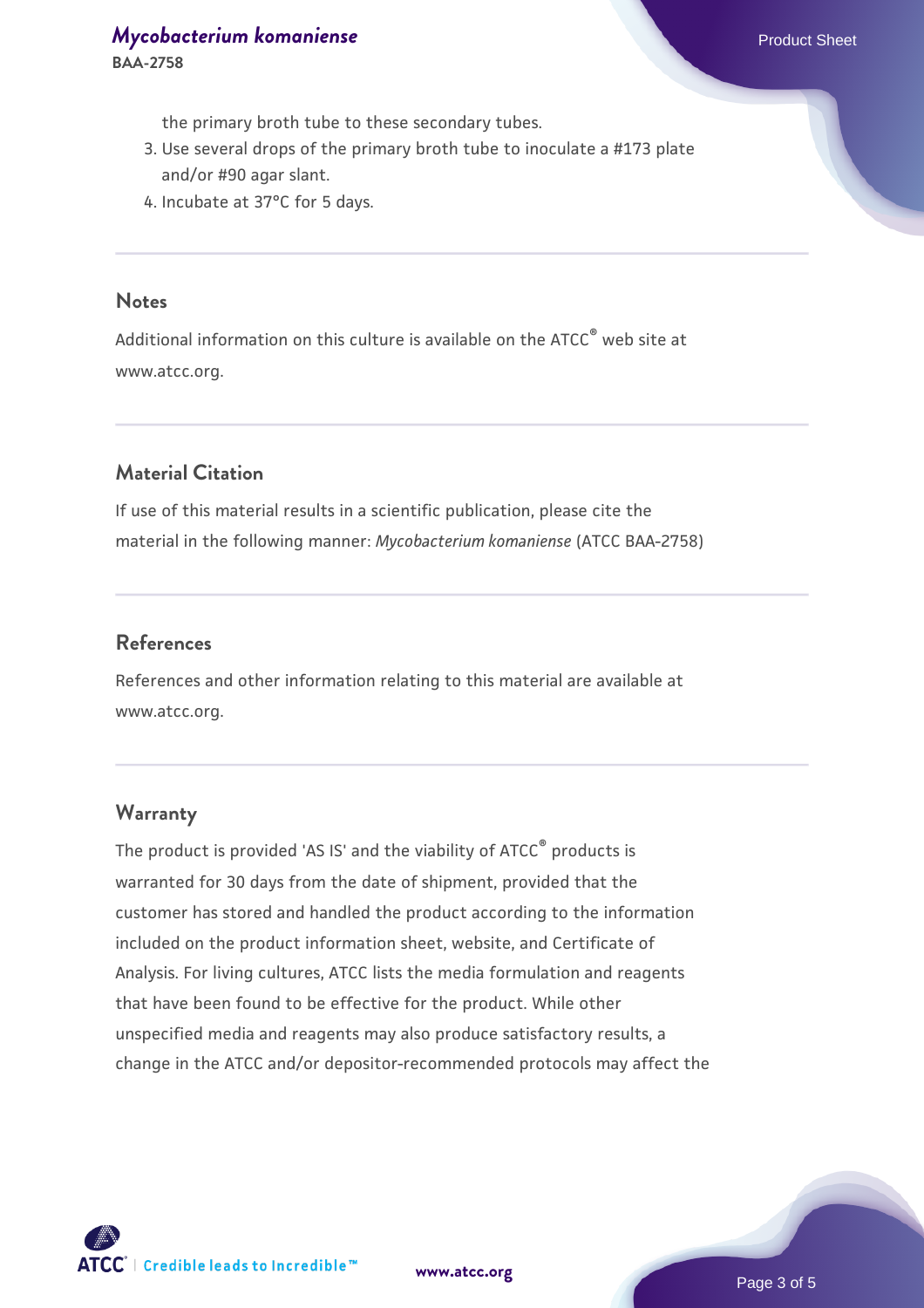**BAA-2758**

the primary broth tube to these secondary tubes.

- 3. Use several drops of the primary broth tube to inoculate a #173 plate and/or #90 agar slant.
- 4. Incubate at 37°C for 5 days.

#### **Notes**

Additional information on this culture is available on the ATCC® web site at www.atcc.org.

# **Material Citation**

If use of this material results in a scientific publication, please cite the material in the following manner: *Mycobacterium komaniense* (ATCC BAA-2758)

#### **References**

References and other information relating to this material are available at www.atcc.org.

#### **Warranty**

The product is provided 'AS IS' and the viability of ATCC® products is warranted for 30 days from the date of shipment, provided that the customer has stored and handled the product according to the information included on the product information sheet, website, and Certificate of Analysis. For living cultures, ATCC lists the media formulation and reagents that have been found to be effective for the product. While other unspecified media and reagents may also produce satisfactory results, a change in the ATCC and/or depositor-recommended protocols may affect the



**[www.atcc.org](http://www.atcc.org)**

Page 3 of 5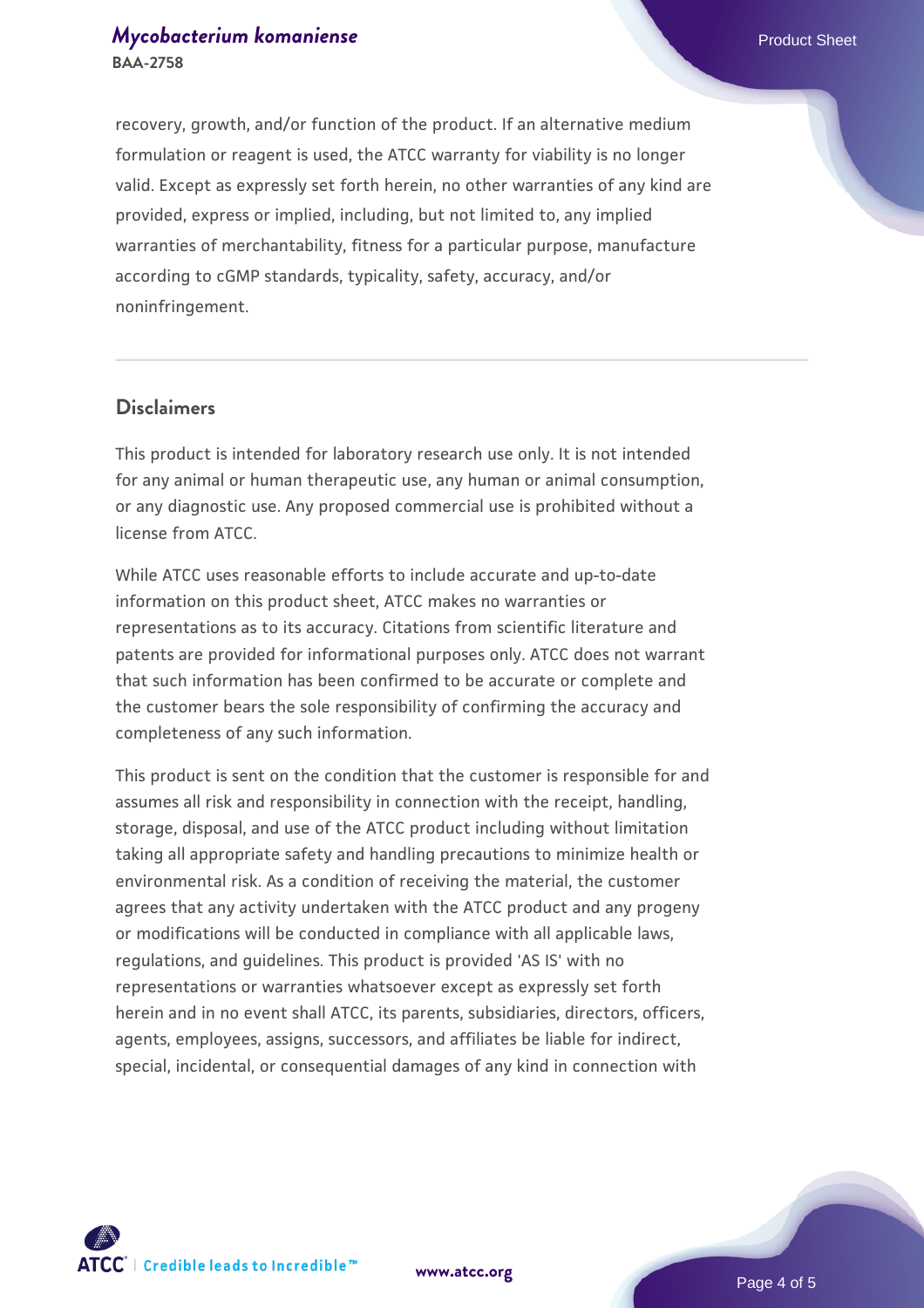recovery, growth, and/or function of the product. If an alternative medium formulation or reagent is used, the ATCC warranty for viability is no longer valid. Except as expressly set forth herein, no other warranties of any kind are provided, express or implied, including, but not limited to, any implied warranties of merchantability, fitness for a particular purpose, manufacture according to cGMP standards, typicality, safety, accuracy, and/or noninfringement.

#### **Disclaimers**

This product is intended for laboratory research use only. It is not intended for any animal or human therapeutic use, any human or animal consumption, or any diagnostic use. Any proposed commercial use is prohibited without a license from ATCC.

While ATCC uses reasonable efforts to include accurate and up-to-date information on this product sheet, ATCC makes no warranties or representations as to its accuracy. Citations from scientific literature and patents are provided for informational purposes only. ATCC does not warrant that such information has been confirmed to be accurate or complete and the customer bears the sole responsibility of confirming the accuracy and completeness of any such information.

This product is sent on the condition that the customer is responsible for and assumes all risk and responsibility in connection with the receipt, handling, storage, disposal, and use of the ATCC product including without limitation taking all appropriate safety and handling precautions to minimize health or environmental risk. As a condition of receiving the material, the customer agrees that any activity undertaken with the ATCC product and any progeny or modifications will be conducted in compliance with all applicable laws, regulations, and guidelines. This product is provided 'AS IS' with no representations or warranties whatsoever except as expressly set forth herein and in no event shall ATCC, its parents, subsidiaries, directors, officers, agents, employees, assigns, successors, and affiliates be liable for indirect, special, incidental, or consequential damages of any kind in connection with